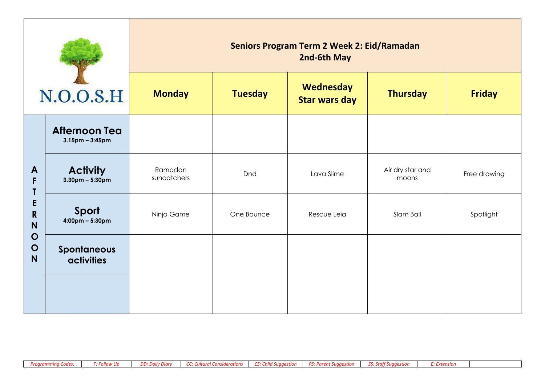| N.O.O.S.H                                                                      |                                               | <b>Seniors Program Term 2 Week 2: Eid/Ramadan</b><br>2nd-6th May |                |                                   |                           |               |  |
|--------------------------------------------------------------------------------|-----------------------------------------------|------------------------------------------------------------------|----------------|-----------------------------------|---------------------------|---------------|--|
|                                                                                |                                               | <b>Monday</b>                                                    | <b>Tuesday</b> | Wednesday<br><b>Star wars day</b> | <b>Thursday</b>           | <b>Friday</b> |  |
| $\mathbf{A}$<br>F<br>E<br>$\mathsf{R}$<br>N<br>$\mathbf O$<br>$\mathbf O$<br>N | <b>Afternoon Tea</b><br>$3.15$ pm - $3:45$ pm |                                                                  |                |                                   |                           |               |  |
|                                                                                | <b>Activity</b><br>$3.30$ pm – 5:30pm         | Ramadan<br>suncatchers                                           | Dnd            | Lava Slime                        | Air dry star and<br>moons | Free drawing  |  |
|                                                                                | Sport<br>$4:00 \text{pm} - 5:30 \text{pm}$    | Ninja Game                                                       | One Bounce     | Rescue Leia                       | Slam Ball                 | Spotlight     |  |
|                                                                                | <b>Spontaneous</b><br><b>activities</b>       |                                                                  |                |                                   |                           |               |  |
|                                                                                |                                               |                                                                  |                |                                   |                           |               |  |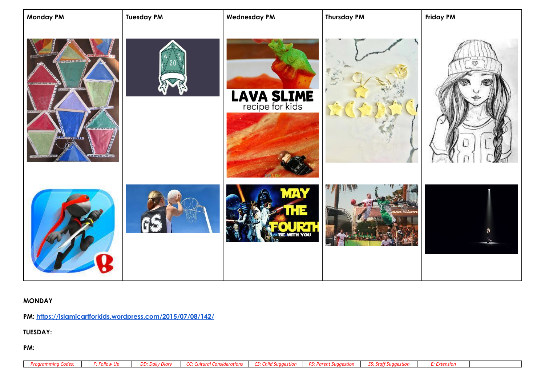| <b>Monday PM</b>                                                  | <b>Tuesday PM</b> | <b>Wednesday PM</b>                  | <b>Thursday PM</b> | <b>Friday PM</b> |
|-------------------------------------------------------------------|-------------------|--------------------------------------|--------------------|------------------|
| $-00 - 0 - 4 - 000$<br><b>QUICTOR</b><br><b>9 8 8 8 8 4 7 3 2</b> |                   | <b>LAVA SLIME</b><br>recipe for kids |                    | GB               |
|                                                                   |                   | <b>UOY HTM</b>                       |                    |                  |

## **MONDAY**

**PM:<https://islamicartforkids.wordpress.com/2015/07/08/142/>**

**TUESDAY:**

**PM:**